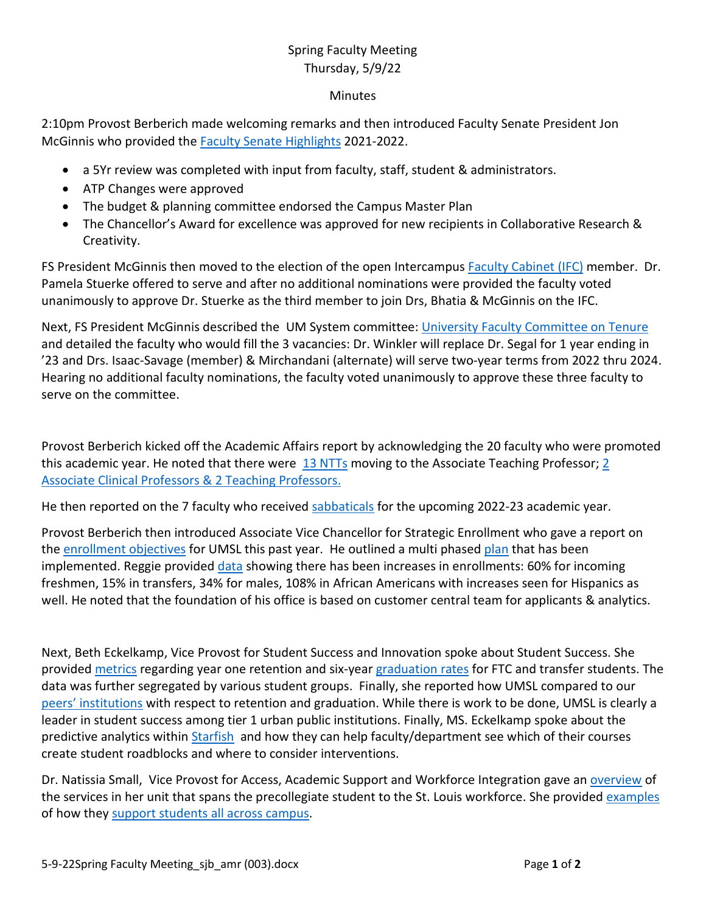## Spring Faculty Meeting Thursday, 5/9/22

## **Minutes**

2:10pm Provost Berberich made welcoming remarks and then introduced Faculty Senate President Jon McGinnis who provided the [Faculty Senate Highlights](https://mailmissouri-my.sharepoint.com/:p:/r/personal/egl3dv_umsystem_edu/Documents/Desktop/Minutes/5-9-22SPringFacMtg/spring-faculty-meeting_2022_full-version_final.pptx?d=wc1798960745f4b7fb04dc7c823cb2b7a&csf=1&web=1&e=OSsDj8&nav=eyJzSWQiOjI1OH0) 2021-2022.

- a 5Yr review was completed with input from faculty, staff, student & administrators.
- ATP Changes were approved
- The budget & planning committee endorsed the Campus Master Plan
- The Chancellor's Award for excellence was approved for new recipients in Collaborative Research & Creativity.

FS President McGinnis then moved to the election of the open Intercampus Faculty [Cabinet \(IFC\)](https://mailmissouri-my.sharepoint.com/:p:/r/personal/egl3dv_umsystem_edu/Documents/Desktop/Minutes/5-9-22SPringFacMtg/spring-faculty-meeting_2022_full-version_final.pptx?d=wc1798960745f4b7fb04dc7c823cb2b7a&csf=1&web=1&e=dftxHu&nav=eyJzSWQiOjI1OSwiY0lkIjowfQ) member. Dr. Pamela Stuerke offered to serve and after no additional nominations were provided the faculty voted unanimously to approve Dr. Stuerke as the third member to join Drs, Bhatia & McGinnis on the IFC.

Next, FS President McGinnis described the UM System committee: [University Faculty Committee on Tenure](https://mailmissouri-my.sharepoint.com/:p:/r/personal/egl3dv_umsystem_edu/Documents/Desktop/Minutes/5-9-22SPringFacMtg/spring-faculty-meeting_2022_full-version_final.pptx?d=wc1798960745f4b7fb04dc7c823cb2b7a&csf=1&web=1&e=SzMBJ5&nav=eyJzSWQiOjI2MCwiY0lkIjowfQ) and detailed the faculty who would fill the 3 vacancies: Dr. Winkler will replace Dr. Segal for 1 year ending in '23 and Drs. Isaac-Savage (member) & Mirchandani (alternate) will serve two-year terms from 2022 thru 2024. Hearing no additional faculty nominations, the faculty voted unanimously to approve these three faculty to serve on the committee.

Provost Berberich kicked off the Academic Affairs report by acknowledging the 20 faculty who were promoted this academic year. He noted that there were [13 NTTs](https://mailmissouri-my.sharepoint.com/:p:/r/personal/egl3dv_umsystem_edu/Documents/Desktop/Minutes/5-9-22SPringFacMtg/spring-faculty-meeting_2022_full-version_final.pptx?d=wc1798960745f4b7fb04dc7c823cb2b7a&csf=1&web=1&e=EGi94I&nav=eyJzSWQiOjI2MywiY0lkIjowfQ) moving to the Associate Teaching Professor; 2 [Associate Clinical Professors & 2 Teaching Professors.](https://mailmissouri-my.sharepoint.com/:p:/r/personal/egl3dv_umsystem_edu/Documents/Desktop/Minutes/5-9-22SPringFacMtg/spring-faculty-meeting_2022_full-version_final.pptx?d=wc1798960745f4b7fb04dc7c823cb2b7a&csf=1&web=1&e=Cj3tUj&nav=eyJzSWQiOjI2NCwiY0lkIjowfQ)

He then reported on the 7 faculty who received [sabbaticals](https://mailmissouri-my.sharepoint.com/:p:/r/personal/egl3dv_umsystem_edu/Documents/Desktop/Minutes/5-9-22SPringFacMtg/spring-faculty-meeting_2022_full-version_final.pptx?d=wc1798960745f4b7fb04dc7c823cb2b7a&csf=1&web=1&e=HtDLaI&nav=eyJzSWQiOjI2NSwiY0lkIjowfQ) for the upcoming 2022-23 academic year.

Provost Berberich then introduced Associate Vice Chancellor for Strategic Enrollment who gave a report on the [enrollment objectives](https://mailmissouri-my.sharepoint.com/:p:/r/personal/egl3dv_umsystem_edu/Documents/Desktop/Minutes/5-9-22SPringFacMtg/spring-faculty-meeting_2022_full-version_final.pptx?d=wc1798960745f4b7fb04dc7c823cb2b7a&csf=1&web=1&e=ndgbdX&nav=eyJzSWQiOjI2NywiY0lkIjowfQ) for UMSL this past year. He outlined a multi phased [plan](https://mailmissouri-my.sharepoint.com/:p:/r/personal/egl3dv_umsystem_edu/Documents/Desktop/Minutes/5-9-22SPringFacMtg/spring-faculty-meeting_2022_full-version_final.pptx?d=wc1798960745f4b7fb04dc7c823cb2b7a&csf=1&web=1&e=qVXYia&nav=eyJzSWQiOjI2OSwiY0lkIjowfQ) that has been implemented. Reggie provided [data](https://mailmissouri-my.sharepoint.com/:p:/r/personal/egl3dv_umsystem_edu/Documents/Desktop/Minutes/5-9-22SPringFacMtg/spring-faculty-meeting_2022_full-version_final.pptx?d=wc1798960745f4b7fb04dc7c823cb2b7a&csf=1&web=1&e=k7u8HB&nav=eyJzSWQiOjI2NywiY0lkIjowfQ) showing there has been increases in enrollments: 60% for incoming freshmen, 15% in transfers, 34% for males, 108% in African Americans with increases seen for Hispanics as well. He noted that the foundation of his office is based on customer central team for applicants & analytics.

Next, Beth Eckelkamp, Vice Provost for Student Success and Innovation spoke about Student Success. She provided [metrics](https://mailmissouri-my.sharepoint.com/:p:/r/personal/egl3dv_umsystem_edu/Documents/Desktop/Minutes/5-9-22SPringFacMtg/spring-faculty-meeting_2022_full-version_final.pptx?d=wc1798960745f4b7fb04dc7c823cb2b7a&csf=1&web=1&e=crS73O&nav=eyJzSWQiOjI3MSwiY0lkIjowfQ) regarding year one retention and six-year [graduation rates](https://mailmissouri-my.sharepoint.com/:p:/r/personal/egl3dv_umsystem_edu/Documents/Desktop/Minutes/5-9-22SPringFacMtg/spring-faculty-meeting_2022_full-version_final.pptx?d=wc1798960745f4b7fb04dc7c823cb2b7a&csf=1&web=1&e=TcfCjb&nav=eyJzSWQiOjI3MiwiY0lkIjowfQ) for FTC and transfer students. The data was further segregated by various student groups. Finally, she reported how UMSL compared to our peers' [institutions](https://mailmissouri-my.sharepoint.com/:p:/r/personal/egl3dv_umsystem_edu/Documents/Desktop/Minutes/5-9-22SPringFacMtg/spring-faculty-meeting_2022_full-version_final.pptx?d=wc1798960745f4b7fb04dc7c823cb2b7a&csf=1&web=1&e=mERb8E&nav=eyJzSWQiOjI3MywiY0lkIjowfQ) with respect to retention and graduation. While there is work to be done, UMSL is clearly a leader in student success among tier 1 urban public institutions. Finally, MS. Eckelkamp spoke about the predictive analytics within [Starfish](https://mailmissouri-my.sharepoint.com/:p:/r/personal/egl3dv_umsystem_edu/Documents/Desktop/Minutes/5-9-22SPringFacMtg/spring-faculty-meeting_2022_full-version_final.pptx?d=wc1798960745f4b7fb04dc7c823cb2b7a&csf=1&web=1&e=gxw5ZK&nav=eyJzSWQiOjI3NCwiY0lkIjowfQ) and how they can help faculty/department see which of their courses create student roadblocks and where to consider interventions.

Dr. Natissia Small, Vice Provost for Access, Academic Support and Workforce Integration gave an [overview](https://mailmissouri-my.sharepoint.com/:p:/r/personal/egl3dv_umsystem_edu/Documents/Desktop/Minutes/5-9-22SPringFacMtg/spring-faculty-meeting_2022_full-version_final.pptx?d=wc1798960745f4b7fb04dc7c823cb2b7a&csf=1&web=1&e=A01X6m&nav=eyJzSWQiOjI3NiwiY0lkIjowfQ) of the services in her unit that spans the precollegiate student to the St. Louis workforce. She provided [examples](https://mailmissouri-my.sharepoint.com/:p:/r/personal/egl3dv_umsystem_edu/Documents/Desktop/Minutes/5-9-22SPringFacMtg/spring-faculty-meeting_2022_full-version_final.pptx?d=wc1798960745f4b7fb04dc7c823cb2b7a&csf=1&web=1&e=SrWzI6&nav=eyJzSWQiOjI3NywiY0lkIjowfQ) of how they [support students all across](https://mailmissouri-my.sharepoint.com/:p:/r/personal/egl3dv_umsystem_edu/Documents/Desktop/Minutes/5-9-22SPringFacMtg/spring-faculty-meeting_2022_full-version_final.pptx?d=wc1798960745f4b7fb04dc7c823cb2b7a&csf=1&web=1&e=EYfOPV&nav=eyJzSWQiOjI3NiwiY0lkIjowfQ) campus.